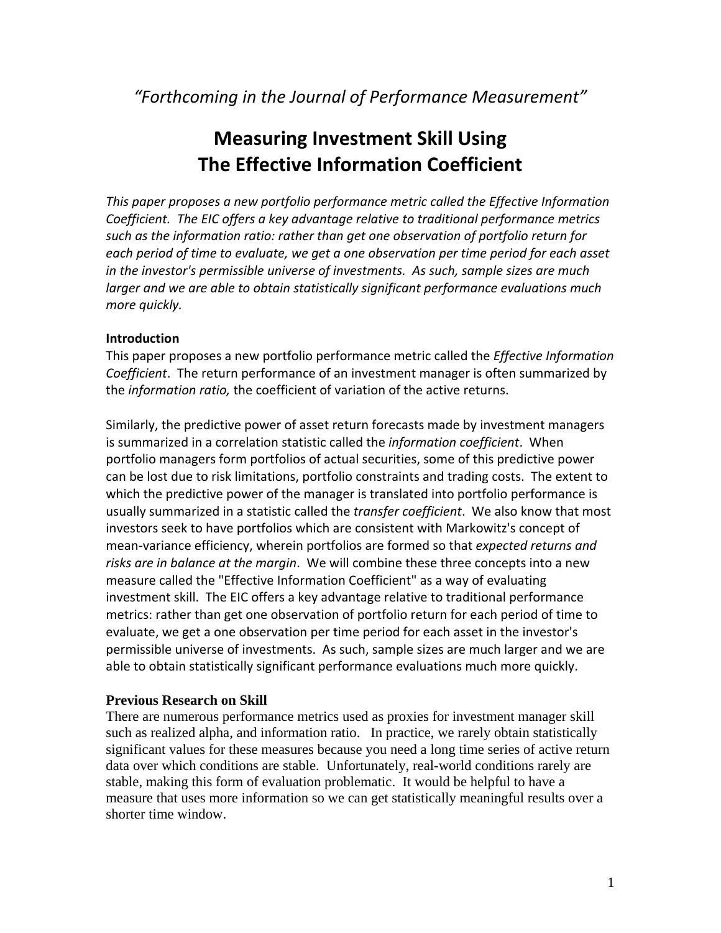*"Forthcoming in the Journal of Performance Measurement"*

# **Measuring Investment Skill Using The Effective Information Coefficient**

*This paper proposes a new portfolio performance metric called the Effective Information Coefficient. The EIC offers a key advantage relative to traditional performance metrics such as the information ratio: rather than get one observation of portfolio return for each period of time to evaluate, we get a one observation per time period for each asset in the investor's permissible universe of investments. As such, sample sizes are much larger and we are able to obtain statistically significant performance evaluations much more quickly.* 

## **Introduction**

This paper proposes a new portfolio performance metric called the *Effective Information Coefficient*. The return performance of an investment manager is often summarized by the *information ratio,* the coefficient of variation of the active returns.

Similarly, the predictive power of asset return forecasts made by investment managers is summarized in a correlation statistic called the *information coefficient*. When portfolio managers form portfolios of actual securities, some of this predictive power can be lost due to risk limitations, portfolio constraints and trading costs. The extent to which the predictive power of the manager is translated into portfolio performance is usually summarized in a statistic called the *transfer coefficient*. We also know that most investors seek to have portfolios which are consistent with Markowitz's concept of mean‐variance efficiency, wherein portfolios are formed so that *expected returns and risks are in balance at the margin*. We will combine these three concepts into a new measure called the "Effective Information Coefficient" as a way of evaluating investment skill. The EIC offers a key advantage relative to traditional performance metrics: rather than get one observation of portfolio return for each period of time to evaluate, we get a one observation per time period for each asset in the investor's permissible universe of investments. As such, sample sizes are much larger and we are able to obtain statistically significant performance evaluations much more quickly.

### **Previous Research on Skill**

There are numerous performance metrics used as proxies for investment manager skill such as realized alpha, and information ratio. In practice, we rarely obtain statistically significant values for these measures because you need a long time series of active return data over which conditions are stable. Unfortunately, real-world conditions rarely are stable, making this form of evaluation problematic. It would be helpful to have a measure that uses more information so we can get statistically meaningful results over a shorter time window.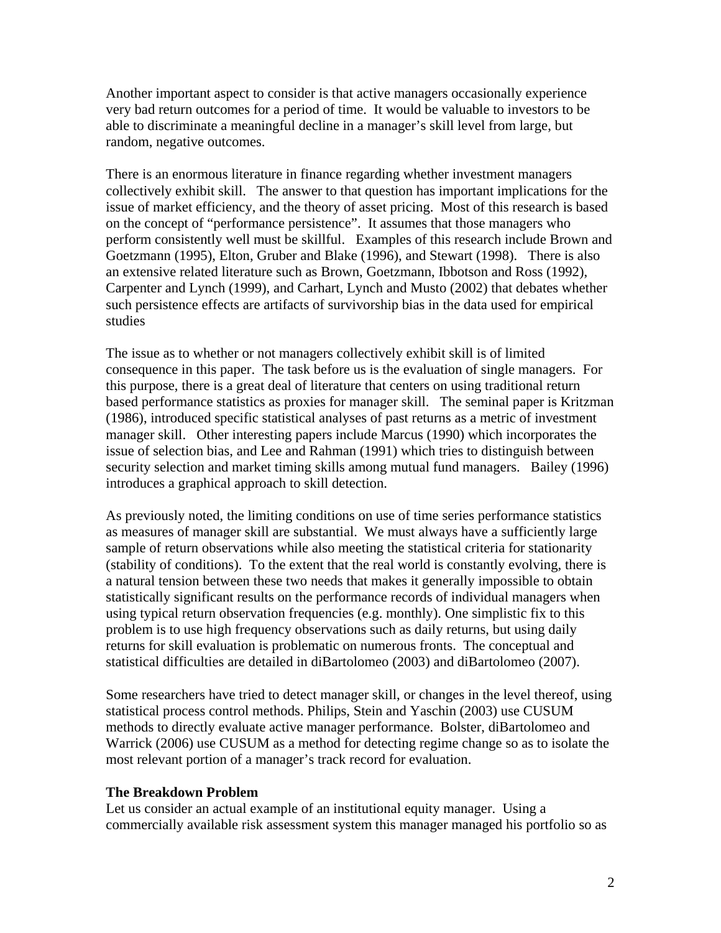Another important aspect to consider is that active managers occasionally experience very bad return outcomes for a period of time. It would be valuable to investors to be able to discriminate a meaningful decline in a manager's skill level from large, but random, negative outcomes.

There is an enormous literature in finance regarding whether investment managers collectively exhibit skill. The answer to that question has important implications for the issue of market efficiency, and the theory of asset pricing. Most of this research is based on the concept of "performance persistence". It assumes that those managers who perform consistently well must be skillful. Examples of this research include Brown and Goetzmann (1995), Elton, Gruber and Blake (1996), and Stewart (1998). There is also an extensive related literature such as Brown, Goetzmann, Ibbotson and Ross (1992), Carpenter and Lynch (1999), and Carhart, Lynch and Musto (2002) that debates whether such persistence effects are artifacts of survivorship bias in the data used for empirical studies

The issue as to whether or not managers collectively exhibit skill is of limited consequence in this paper. The task before us is the evaluation of single managers. For this purpose, there is a great deal of literature that centers on using traditional return based performance statistics as proxies for manager skill. The seminal paper is Kritzman (1986), introduced specific statistical analyses of past returns as a metric of investment manager skill. Other interesting papers include Marcus (1990) which incorporates the issue of selection bias, and Lee and Rahman (1991) which tries to distinguish between security selection and market timing skills among mutual fund managers. Bailey (1996) introduces a graphical approach to skill detection.

As previously noted, the limiting conditions on use of time series performance statistics as measures of manager skill are substantial. We must always have a sufficiently large sample of return observations while also meeting the statistical criteria for stationarity (stability of conditions). To the extent that the real world is constantly evolving, there is a natural tension between these two needs that makes it generally impossible to obtain statistically significant results on the performance records of individual managers when using typical return observation frequencies (e.g. monthly). One simplistic fix to this problem is to use high frequency observations such as daily returns, but using daily returns for skill evaluation is problematic on numerous fronts. The conceptual and statistical difficulties are detailed in diBartolomeo (2003) and diBartolomeo (2007).

Some researchers have tried to detect manager skill, or changes in the level thereof, using statistical process control methods. Philips, Stein and Yaschin (2003) use CUSUM methods to directly evaluate active manager performance. Bolster, diBartolomeo and Warrick (2006) use CUSUM as a method for detecting regime change so as to isolate the most relevant portion of a manager's track record for evaluation.

#### **The Breakdown Problem**

Let us consider an actual example of an institutional equity manager. Using a commercially available risk assessment system this manager managed his portfolio so as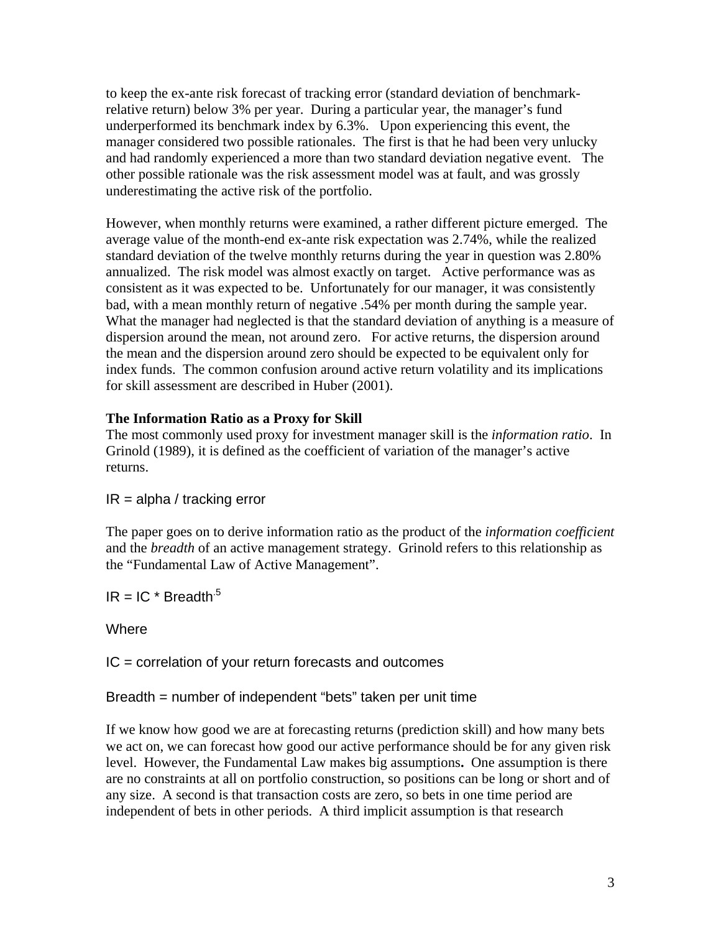to keep the ex-ante risk forecast of tracking error (standard deviation of benchmarkrelative return) below 3% per year. During a particular year, the manager's fund underperformed its benchmark index by 6.3%. Upon experiencing this event, the manager considered two possible rationales. The first is that he had been very unlucky and had randomly experienced a more than two standard deviation negative event. The other possible rationale was the risk assessment model was at fault, and was grossly underestimating the active risk of the portfolio.

However, when monthly returns were examined, a rather different picture emerged. The average value of the month-end ex-ante risk expectation was 2.74%, while the realized standard deviation of the twelve monthly returns during the year in question was 2.80% annualized. The risk model was almost exactly on target. Active performance was as consistent as it was expected to be. Unfortunately for our manager, it was consistently bad, with a mean monthly return of negative .54% per month during the sample year. What the manager had neglected is that the standard deviation of anything is a measure of dispersion around the mean, not around zero. For active returns, the dispersion around the mean and the dispersion around zero should be expected to be equivalent only for index funds. The common confusion around active return volatility and its implications for skill assessment are described in Huber (2001).

## **The Information Ratio as a Proxy for Skill**

The most commonly used proxy for investment manager skill is the *information ratio*. In Grinold (1989), it is defined as the coefficient of variation of the manager's active returns.

 $IR = alpha / tracking error$ 

The paper goes on to derive information ratio as the product of the *information coefficient*  and the *breadth* of an active management strategy. Grinold refers to this relationship as the "Fundamental Law of Active Management".

 $IR = IC * Breadth<sup>5</sup>$ 

**Where** 

IC = correlation of your return forecasts and outcomes

Breadth = number of independent "bets" taken per unit time

If we know how good we are at forecasting returns (prediction skill) and how many bets we act on, we can forecast how good our active performance should be for any given risk level. However, the Fundamental Law makes big assumptions**.** One assumption is there are no constraints at all on portfolio construction, so positions can be long or short and of any size. A second is that transaction costs are zero, so bets in one time period are independent of bets in other periods. A third implicit assumption is that research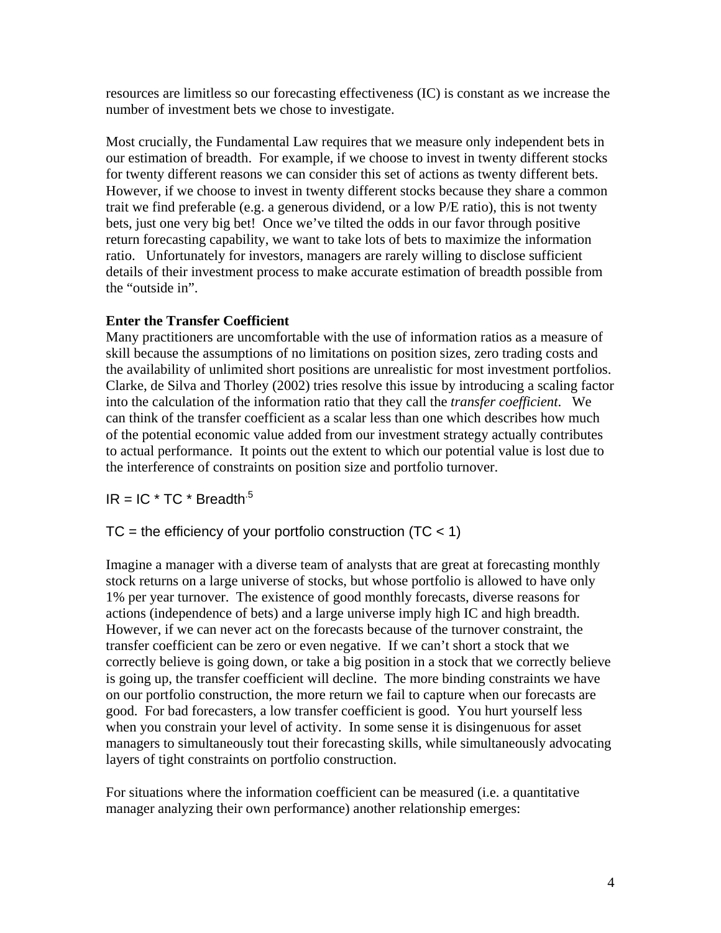resources are limitless so our forecasting effectiveness (IC) is constant as we increase the number of investment bets we chose to investigate.

Most crucially, the Fundamental Law requires that we measure only independent bets in our estimation of breadth. For example, if we choose to invest in twenty different stocks for twenty different reasons we can consider this set of actions as twenty different bets. However, if we choose to invest in twenty different stocks because they share a common trait we find preferable (e.g. a generous dividend, or a low P/E ratio), this is not twenty bets, just one very big bet! Once we've tilted the odds in our favor through positive return forecasting capability, we want to take lots of bets to maximize the information ratio. Unfortunately for investors, managers are rarely willing to disclose sufficient details of their investment process to make accurate estimation of breadth possible from the "outside in".

## **Enter the Transfer Coefficient**

Many practitioners are uncomfortable with the use of information ratios as a measure of skill because the assumptions of no limitations on position sizes, zero trading costs and the availability of unlimited short positions are unrealistic for most investment portfolios. Clarke, de Silva and Thorley (2002) tries resolve this issue by introducing a scaling factor into the calculation of the information ratio that they call the *transfer coefficient*. We can think of the transfer coefficient as a scalar less than one which describes how much of the potential economic value added from our investment strategy actually contributes to actual performance. It points out the extent to which our potential value is lost due to the interference of constraints on position size and portfolio turnover.

 $IR = IC * TC * Breadth<sup>5</sup>$ 

## $TC =$  the efficiency of your portfolio construction (TC  $<$  1)

Imagine a manager with a diverse team of analysts that are great at forecasting monthly stock returns on a large universe of stocks, but whose portfolio is allowed to have only 1% per year turnover. The existence of good monthly forecasts, diverse reasons for actions (independence of bets) and a large universe imply high IC and high breadth. However, if we can never act on the forecasts because of the turnover constraint, the transfer coefficient can be zero or even negative. If we can't short a stock that we correctly believe is going down, or take a big position in a stock that we correctly believe is going up, the transfer coefficient will decline. The more binding constraints we have on our portfolio construction, the more return we fail to capture when our forecasts are good. For bad forecasters, a low transfer coefficient is good. You hurt yourself less when you constrain your level of activity. In some sense it is disingenuous for asset managers to simultaneously tout their forecasting skills, while simultaneously advocating layers of tight constraints on portfolio construction.

For situations where the information coefficient can be measured (i.e. a quantitative manager analyzing their own performance) another relationship emerges: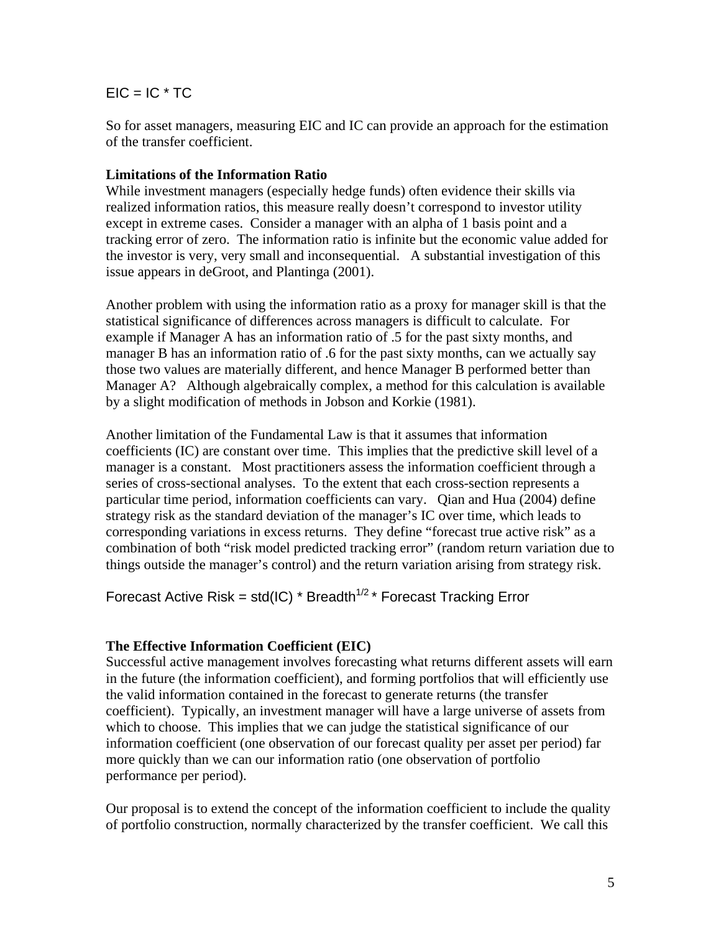## $EIC = IC * TC$

So for asset managers, measuring EIC and IC can provide an approach for the estimation of the transfer coefficient.

## **Limitations of the Information Ratio**

While investment managers (especially hedge funds) often evidence their skills via realized information ratios, this measure really doesn't correspond to investor utility except in extreme cases. Consider a manager with an alpha of 1 basis point and a tracking error of zero. The information ratio is infinite but the economic value added for the investor is very, very small and inconsequential. A substantial investigation of this issue appears in deGroot, and Plantinga (2001).

Another problem with using the information ratio as a proxy for manager skill is that the statistical significance of differences across managers is difficult to calculate. For example if Manager A has an information ratio of .5 for the past sixty months, and manager B has an information ratio of .6 for the past sixty months, can we actually say those two values are materially different, and hence Manager B performed better than Manager A? Although algebraically complex, a method for this calculation is available by a slight modification of methods in Jobson and Korkie (1981).

Another limitation of the Fundamental Law is that it assumes that information coefficients (IC) are constant over time. This implies that the predictive skill level of a manager is a constant. Most practitioners assess the information coefficient through a series of cross-sectional analyses. To the extent that each cross-section represents a particular time period, information coefficients can vary. Qian and Hua (2004) define strategy risk as the standard deviation of the manager's IC over time, which leads to corresponding variations in excess returns. They define "forecast true active risk" as a combination of both "risk model predicted tracking error" (random return variation due to things outside the manager's control) and the return variation arising from strategy risk.

Forecast Active Risk = std(IC) \* Breadth<sup> $1/2$ </sup> \* Forecast Tracking Error

### **The Effective Information Coefficient (EIC)**

Successful active management involves forecasting what returns different assets will earn in the future (the information coefficient), and forming portfolios that will efficiently use the valid information contained in the forecast to generate returns (the transfer coefficient). Typically, an investment manager will have a large universe of assets from which to choose. This implies that we can judge the statistical significance of our information coefficient (one observation of our forecast quality per asset per period) far more quickly than we can our information ratio (one observation of portfolio performance per period).

Our proposal is to extend the concept of the information coefficient to include the quality of portfolio construction, normally characterized by the transfer coefficient. We call this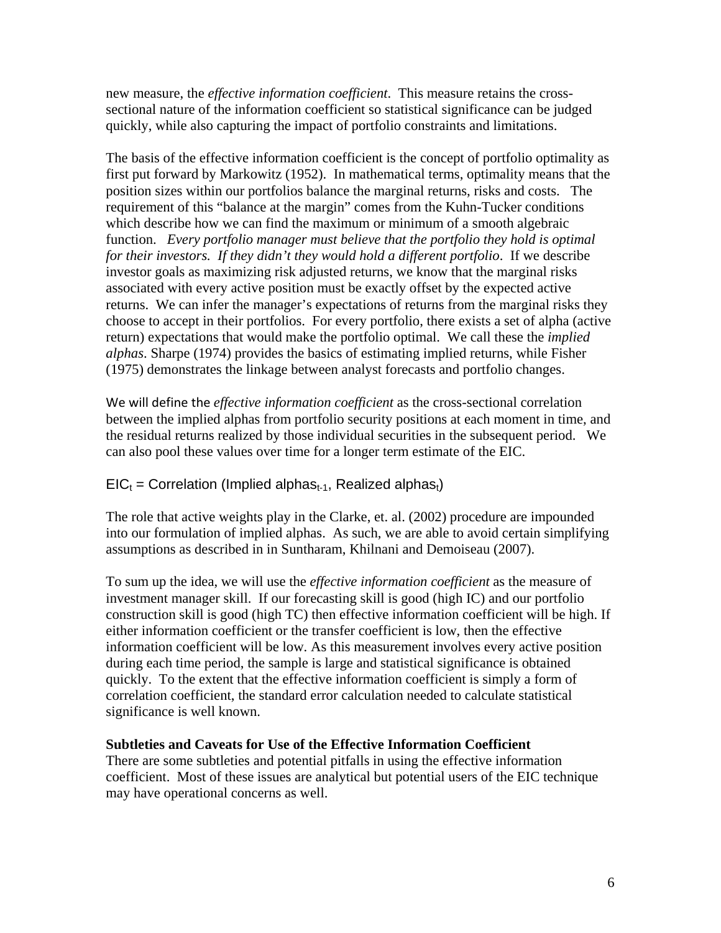new measure, the *effective information coefficient*. This measure retains the crosssectional nature of the information coefficient so statistical significance can be judged quickly, while also capturing the impact of portfolio constraints and limitations.

The basis of the effective information coefficient is the concept of portfolio optimality as first put forward by Markowitz (1952). In mathematical terms, optimality means that the position sizes within our portfolios balance the marginal returns, risks and costs. The requirement of this "balance at the margin" comes from the Kuhn-Tucker conditions which describe how we can find the maximum or minimum of a smooth algebraic function. *Every portfolio manager must believe that the portfolio they hold is optimal for their investors. If they didn't they would hold a different portfolio*. If we describe investor goals as maximizing risk adjusted returns, we know that the marginal risks associated with every active position must be exactly offset by the expected active returns. We can infer the manager's expectations of returns from the marginal risks they choose to accept in their portfolios. For every portfolio, there exists a set of alpha (active return) expectations that would make the portfolio optimal. We call these the *implied alphas*. Sharpe (1974) provides the basics of estimating implied returns, while Fisher (1975) demonstrates the linkage between analyst forecasts and portfolio changes.

We will define the *effective information coefficient* as the cross-sectional correlation between the implied alphas from portfolio security positions at each moment in time, and the residual returns realized by those individual securities in the subsequent period. We can also pool these values over time for a longer term estimate of the EIC.

## $EIC_t =$  Correlation (Implied alphas<sub>t-1</sub>, Realized alphas<sub>t</sub>)

The role that active weights play in the Clarke, et. al. (2002) procedure are impounded into our formulation of implied alphas. As such, we are able to avoid certain simplifying assumptions as described in in Suntharam, Khilnani and Demoiseau (2007).

To sum up the idea, we will use the *effective information coefficient* as the measure of investment manager skill. If our forecasting skill is good (high IC) and our portfolio construction skill is good (high TC) then effective information coefficient will be high. If either information coefficient or the transfer coefficient is low, then the effective information coefficient will be low. As this measurement involves every active position during each time period, the sample is large and statistical significance is obtained quickly. To the extent that the effective information coefficient is simply a form of correlation coefficient, the standard error calculation needed to calculate statistical significance is well known.

### **Subtleties and Caveats for Use of the Effective Information Coefficient**

There are some subtleties and potential pitfalls in using the effective information coefficient. Most of these issues are analytical but potential users of the EIC technique may have operational concerns as well.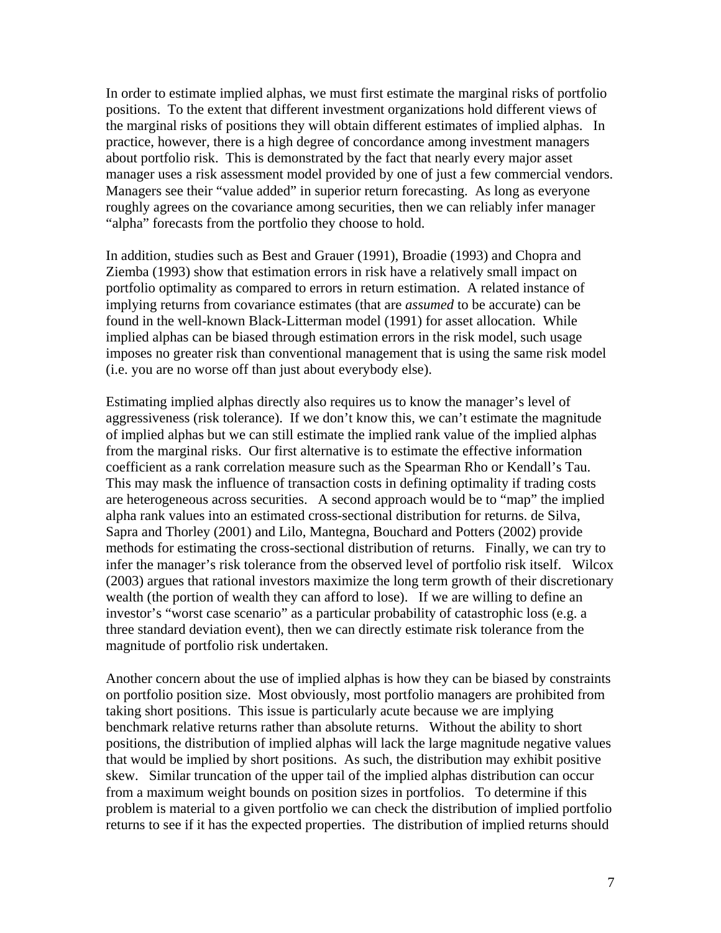In order to estimate implied alphas, we must first estimate the marginal risks of portfolio positions. To the extent that different investment organizations hold different views of the marginal risks of positions they will obtain different estimates of implied alphas. In practice, however, there is a high degree of concordance among investment managers about portfolio risk. This is demonstrated by the fact that nearly every major asset manager uses a risk assessment model provided by one of just a few commercial vendors. Managers see their "value added" in superior return forecasting. As long as everyone roughly agrees on the covariance among securities, then we can reliably infer manager "alpha" forecasts from the portfolio they choose to hold.

In addition, studies such as Best and Grauer (1991), Broadie (1993) and Chopra and Ziemba (1993) show that estimation errors in risk have a relatively small impact on portfolio optimality as compared to errors in return estimation. A related instance of implying returns from covariance estimates (that are *assumed* to be accurate) can be found in the well-known Black-Litterman model (1991) for asset allocation. While implied alphas can be biased through estimation errors in the risk model, such usage imposes no greater risk than conventional management that is using the same risk model (i.e. you are no worse off than just about everybody else).

Estimating implied alphas directly also requires us to know the manager's level of aggressiveness (risk tolerance). If we don't know this, we can't estimate the magnitude of implied alphas but we can still estimate the implied rank value of the implied alphas from the marginal risks. Our first alternative is to estimate the effective information coefficient as a rank correlation measure such as the Spearman Rho or Kendall's Tau. This may mask the influence of transaction costs in defining optimality if trading costs are heterogeneous across securities. A second approach would be to "map" the implied alpha rank values into an estimated cross-sectional distribution for returns. de Silva, Sapra and Thorley (2001) and Lilo, Mantegna, Bouchard and Potters (2002) provide methods for estimating the cross-sectional distribution of returns. Finally, we can try to infer the manager's risk tolerance from the observed level of portfolio risk itself. Wilcox (2003) argues that rational investors maximize the long term growth of their discretionary wealth (the portion of wealth they can afford to lose). If we are willing to define an investor's "worst case scenario" as a particular probability of catastrophic loss (e.g. a three standard deviation event), then we can directly estimate risk tolerance from the magnitude of portfolio risk undertaken.

Another concern about the use of implied alphas is how they can be biased by constraints on portfolio position size. Most obviously, most portfolio managers are prohibited from taking short positions. This issue is particularly acute because we are implying benchmark relative returns rather than absolute returns. Without the ability to short positions, the distribution of implied alphas will lack the large magnitude negative values that would be implied by short positions. As such, the distribution may exhibit positive skew. Similar truncation of the upper tail of the implied alphas distribution can occur from a maximum weight bounds on position sizes in portfolios. To determine if this problem is material to a given portfolio we can check the distribution of implied portfolio returns to see if it has the expected properties. The distribution of implied returns should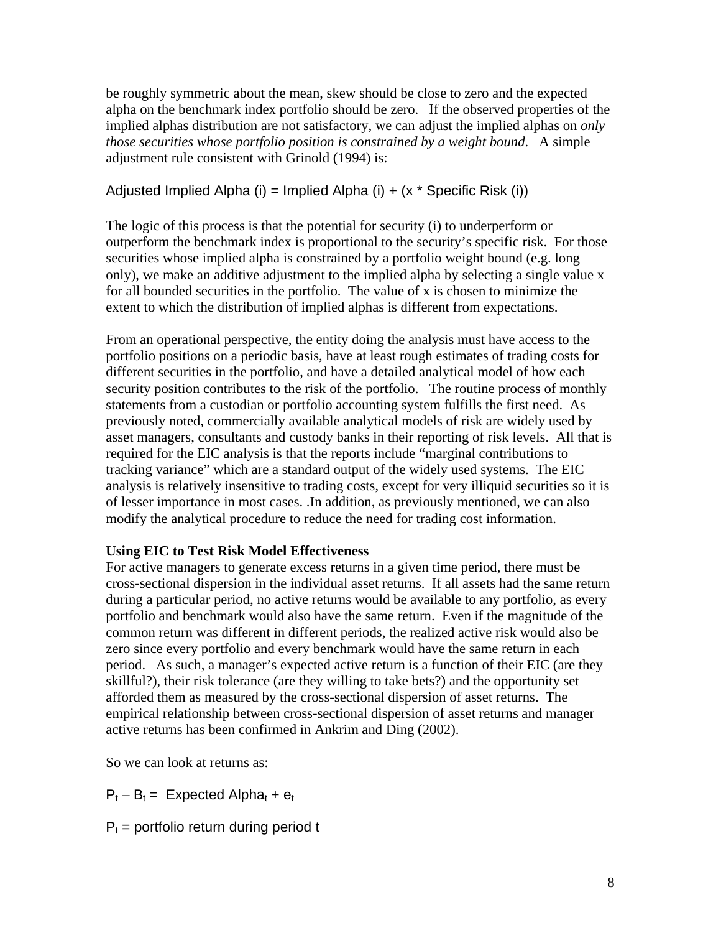be roughly symmetric about the mean, skew should be close to zero and the expected alpha on the benchmark index portfolio should be zero. If the observed properties of the implied alphas distribution are not satisfactory, we can adjust the implied alphas on *only those securities whose portfolio position is constrained by a weight bound*. A simple adjustment rule consistent with Grinold (1994) is:

## Adjusted Implied Alpha (i) = Implied Alpha (i) +  $(x *$  Specific Risk (i))

The logic of this process is that the potential for security (i) to underperform or outperform the benchmark index is proportional to the security's specific risk. For those securities whose implied alpha is constrained by a portfolio weight bound (e.g. long only), we make an additive adjustment to the implied alpha by selecting a single value x for all bounded securities in the portfolio. The value of x is chosen to minimize the extent to which the distribution of implied alphas is different from expectations.

From an operational perspective, the entity doing the analysis must have access to the portfolio positions on a periodic basis, have at least rough estimates of trading costs for different securities in the portfolio, and have a detailed analytical model of how each security position contributes to the risk of the portfolio. The routine process of monthly statements from a custodian or portfolio accounting system fulfills the first need. As previously noted, commercially available analytical models of risk are widely used by asset managers, consultants and custody banks in their reporting of risk levels. All that is required for the EIC analysis is that the reports include "marginal contributions to tracking variance" which are a standard output of the widely used systems. The EIC analysis is relatively insensitive to trading costs, except for very illiquid securities so it is of lesser importance in most cases. .In addition, as previously mentioned, we can also modify the analytical procedure to reduce the need for trading cost information.

### **Using EIC to Test Risk Model Effectiveness**

For active managers to generate excess returns in a given time period, there must be cross-sectional dispersion in the individual asset returns. If all assets had the same return during a particular period, no active returns would be available to any portfolio, as every portfolio and benchmark would also have the same return. Even if the magnitude of the common return was different in different periods, the realized active risk would also be zero since every portfolio and every benchmark would have the same return in each period. As such, a manager's expected active return is a function of their EIC (are they skillful?), their risk tolerance (are they willing to take bets?) and the opportunity set afforded them as measured by the cross-sectional dispersion of asset returns. The empirical relationship between cross-sectional dispersion of asset returns and manager active returns has been confirmed in Ankrim and Ding (2002).

So we can look at returns as:

 $P_t - B_t =$  Expected Alpha<sub>t</sub> +  $e_t$ 

 $P_t$  = portfolio return during period t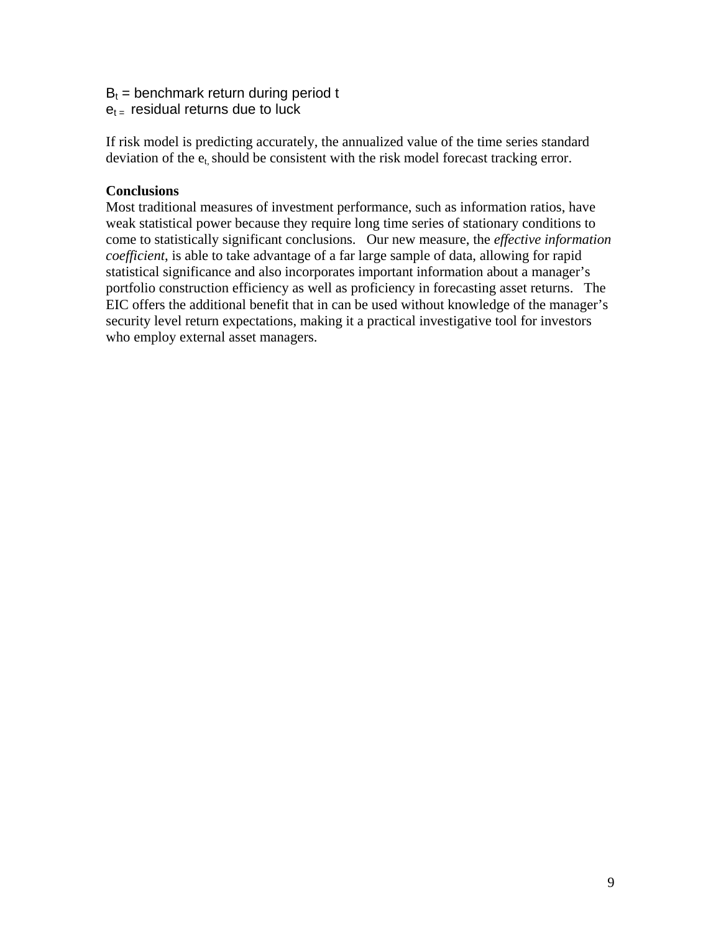## $B_t$  = benchmark return during period t

 $e_{t}$  residual returns due to luck

If risk model is predicting accurately, the annualized value of the time series standard deviation of the  $e_t$ , should be consistent with the risk model forecast tracking error.

## **Conclusions**

Most traditional measures of investment performance, such as information ratios, have weak statistical power because they require long time series of stationary conditions to come to statistically significant conclusions. Our new measure, the *effective information coefficient*, is able to take advantage of a far large sample of data, allowing for rapid statistical significance and also incorporates important information about a manager's portfolio construction efficiency as well as proficiency in forecasting asset returns. The EIC offers the additional benefit that in can be used without knowledge of the manager's security level return expectations, making it a practical investigative tool for investors who employ external asset managers.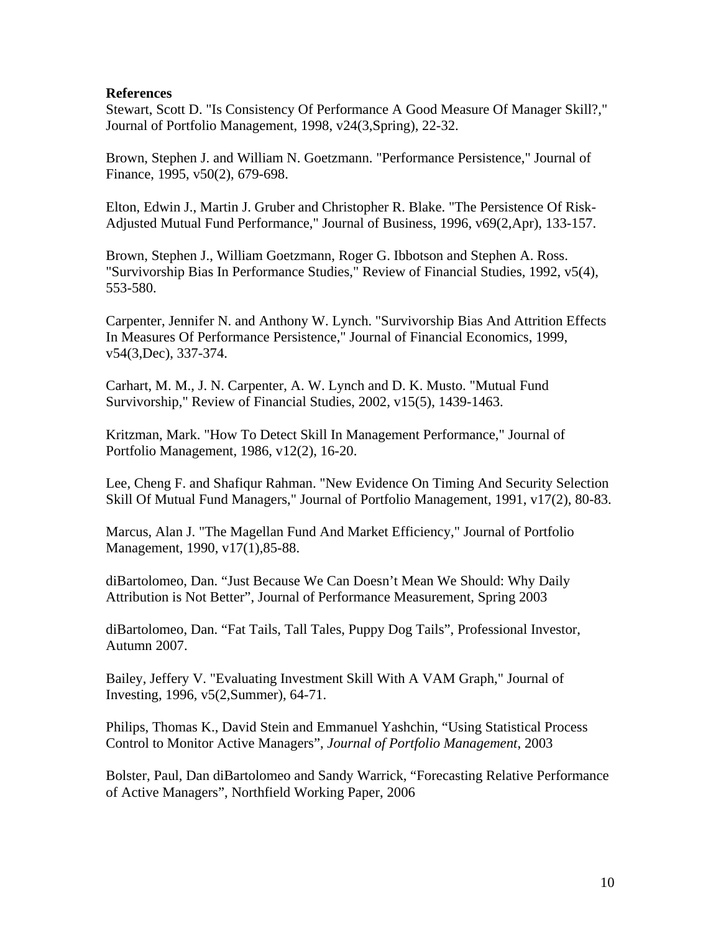### **References**

Stewart, Scott D. "Is Consistency Of Performance A Good Measure Of Manager Skill?," Journal of Portfolio Management, 1998, v24(3,Spring), 22-32.

Brown, Stephen J. and William N. Goetzmann. "Performance Persistence," Journal of Finance, 1995, v50(2), 679-698.

Elton, Edwin J., Martin J. Gruber and Christopher R. Blake. "The Persistence Of Risk-Adjusted Mutual Fund Performance," Journal of Business, 1996, v69(2,Apr), 133-157.

Brown, Stephen J., William Goetzmann, Roger G. Ibbotson and Stephen A. Ross. "Survivorship Bias In Performance Studies," Review of Financial Studies, 1992, v5(4), 553-580.

Carpenter, Jennifer N. and Anthony W. Lynch. "Survivorship Bias And Attrition Effects In Measures Of Performance Persistence," Journal of Financial Economics, 1999, v54(3,Dec), 337-374.

Carhart, M. M., J. N. Carpenter, A. W. Lynch and D. K. Musto. "Mutual Fund Survivorship," Review of Financial Studies, 2002, v15(5), 1439-1463.

Kritzman, Mark. "How To Detect Skill In Management Performance," Journal of Portfolio Management, 1986, v12(2), 16-20.

Lee, Cheng F. and Shafiqur Rahman. "New Evidence On Timing And Security Selection Skill Of Mutual Fund Managers," Journal of Portfolio Management, 1991, v17(2), 80-83.

Marcus, Alan J. "The Magellan Fund And Market Efficiency," Journal of Portfolio Management, 1990, v17(1),85-88.

diBartolomeo, Dan. "Just Because We Can Doesn't Mean We Should: Why Daily Attribution is Not Better", Journal of Performance Measurement, Spring 2003

diBartolomeo, Dan. "Fat Tails, Tall Tales, Puppy Dog Tails", Professional Investor, Autumn 2007.

Bailey, Jeffery V. "Evaluating Investment Skill With A VAM Graph," Journal of Investing, 1996, v5(2,Summer), 64-71.

Philips, Thomas K., David Stein and Emmanuel Yashchin, "Using Statistical Process Control to Monitor Active Managers", *Journal of Portfolio Management*, 2003

Bolster, Paul, Dan diBartolomeo and Sandy Warrick, "Forecasting Relative Performance of Active Managers", Northfield Working Paper, 2006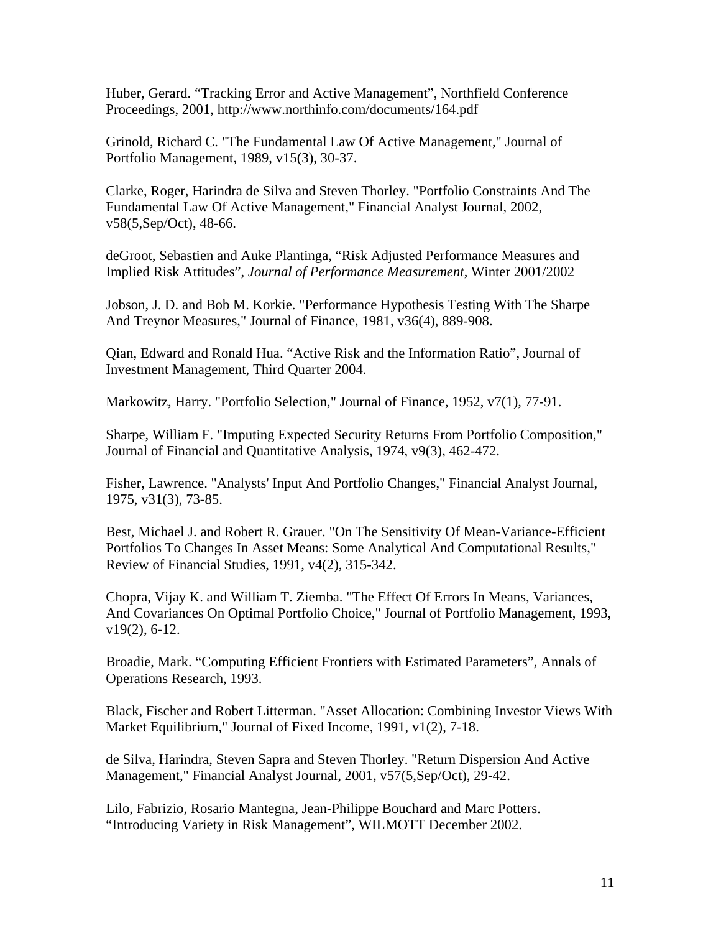Huber, Gerard. "Tracking Error and Active Management", Northfield Conference Proceedings, 2001, http://www.northinfo.com/documents/164.pdf

Grinold, Richard C. "The Fundamental Law Of Active Management," Journal of Portfolio Management, 1989, v15(3), 30-37.

Clarke, Roger, Harindra de Silva and Steven Thorley. "Portfolio Constraints And The Fundamental Law Of Active Management," Financial Analyst Journal, 2002, v58(5,Sep/Oct), 48-66.

deGroot, Sebastien and Auke Plantinga, "Risk Adjusted Performance Measures and Implied Risk Attitudes", *Journal of Performance Measurement*, Winter 2001/2002

Jobson, J. D. and Bob M. Korkie. "Performance Hypothesis Testing With The Sharpe And Treynor Measures," Journal of Finance, 1981, v36(4), 889-908.

Qian, Edward and Ronald Hua. "Active Risk and the Information Ratio", Journal of Investment Management, Third Quarter 2004.

Markowitz, Harry. "Portfolio Selection," Journal of Finance, 1952, v7(1), 77-91.

Sharpe, William F. "Imputing Expected Security Returns From Portfolio Composition," Journal of Financial and Quantitative Analysis, 1974, v9(3), 462-472.

Fisher, Lawrence. "Analysts' Input And Portfolio Changes," Financial Analyst Journal, 1975, v31(3), 73-85.

Best, Michael J. and Robert R. Grauer. "On The Sensitivity Of Mean-Variance-Efficient Portfolios To Changes In Asset Means: Some Analytical And Computational Results," Review of Financial Studies, 1991, v4(2), 315-342.

Chopra, Vijay K. and William T. Ziemba. "The Effect Of Errors In Means, Variances, And Covariances On Optimal Portfolio Choice," Journal of Portfolio Management, 1993, v19(2), 6-12.

Broadie, Mark. "Computing Efficient Frontiers with Estimated Parameters", Annals of Operations Research, 1993.

Black, Fischer and Robert Litterman. "Asset Allocation: Combining Investor Views With Market Equilibrium," Journal of Fixed Income, 1991, v1(2), 7-18.

de Silva, Harindra, Steven Sapra and Steven Thorley. "Return Dispersion And Active Management," Financial Analyst Journal, 2001, v57(5,Sep/Oct), 29-42.

Lilo, Fabrizio, Rosario Mantegna, Jean-Philippe Bouchard and Marc Potters. "Introducing Variety in Risk Management", WILMOTT December 2002.